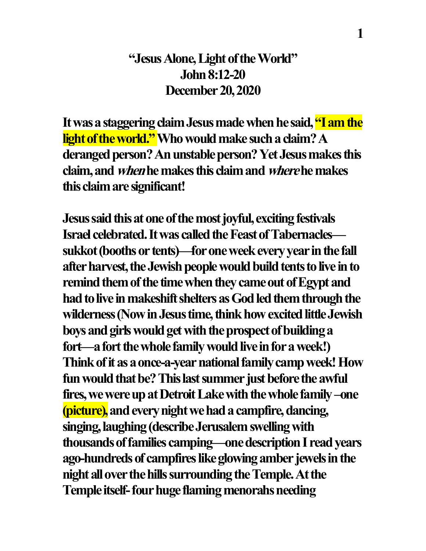## **"Jesus Alone, Light of the World" John 8:12-20 December 20, 2020**

**It was a staggering claim Jesus made when he said, "I am the light of the world." Who would make such a claim?A deranged person? An unstable person? Yet Jesus makes this claim, and whenhemakesthis claimand wherehe makes this claimare significant!**

**Jesus said this at one of the most joyful, exciting festivals Israel celebrated. It was called the Feast of Tabernacles sukkot (boothsor tents)—for one week every year in the fall after harvest, the Jewish people would build tents to live in to remind them of the time when they came out of Egypt and had to live in makeshift shelters as God led them through the**  wilderness (Now in Jesus time, think how excited little Jewish **boys and girls would get with the prospect of building a fort—a fort the whole family would live in for a week!)** Think of it as a once-a-year national family camp week! How fun would that be? This last summer just before the awful **fires,we were up at Detroit Lake with the whole family–one (picture),and every night we hada campfire, dancing, singing, laughing(describe Jerusalemswellingwith thousands of families camping—one description I read years**  ago-hundreds of campfires like glowing amber jewels in the **night all overthe hills surrounding the Temple. At the Temple itself-four huge flaming menorahs needing**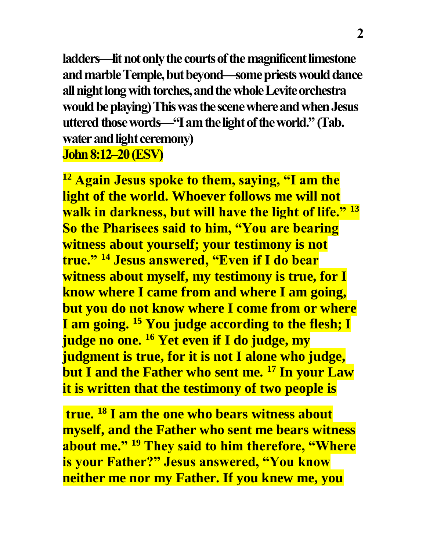**ladders—lit not only the courts of the magnificent limestone and marbleTemple, but beyond—some priests would dance all night long with torches, and the whole Levite orchestra would be playing)This was the scene where and when Jesus uttered those words—"I am the light of the world."(Tab. water and light ceremony) John 8:12–20 (ESV)** 

**<sup>12</sup> Again Jesus spoke to them, saying, "I am the light of the world. Whoever follows me will not walk in darkness, but will have the light of life." <sup>13</sup> So the Pharisees said to him, "You are bearing witness about yourself; your testimony is not true." <sup>14</sup> Jesus answered, "Even if I do bear witness about myself, my testimony is true, for I know where I came from and where I am going, but you do not know where I come from or where I am going. <sup>15</sup> You judge according to the flesh; I judge no one. <sup>16</sup> Yet even if I do judge, my judgment is true, for it is not I alone who judge, but I and the Father who sent me. <sup>17</sup> In your Law it is written that the testimony of two people is**

**true. <sup>18</sup> I am the one who bears witness about myself, and the Father who sent me bears witness about me." <sup>19</sup> They said to him therefore, "Where is your Father?" Jesus answered, "You know neither me nor my Father. If you knew me, you**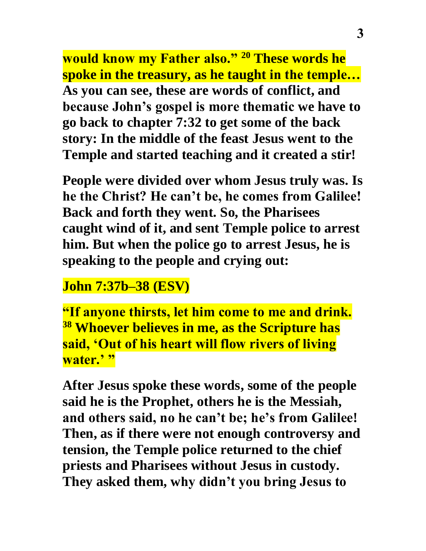**would know my Father also." <sup>20</sup> These words he spoke in the treasury, as he taught in the temple… As you can see, these are words of conflict, and because John's gospel is more thematic we have to go back to chapter 7:32 to get some of the back story: In the middle of the feast Jesus went to the Temple and started teaching and it created a stir!**

**People were divided over whom Jesus truly was. Is he the Christ? He can't be, he comes from Galilee! Back and forth they went. So, the Pharisees caught wind of it, and sent Temple police to arrest him. But when the police go to arrest Jesus, he is speaking to the people and crying out:**

## **John 7:37b–38 (ESV)**

**"If anyone thirsts, let him come to me and drink. <sup>38</sup> Whoever believes in me, as the Scripture has said, 'Out of his heart will flow rivers of living water.' "**

**After Jesus spoke these words, some of the people said he is the Prophet, others he is the Messiah, and others said, no he can't be; he's from Galilee! Then, as if there were not enough controversy and tension, the Temple police returned to the chief priests and Pharisees without Jesus in custody. They asked them, why didn't you bring Jesus to**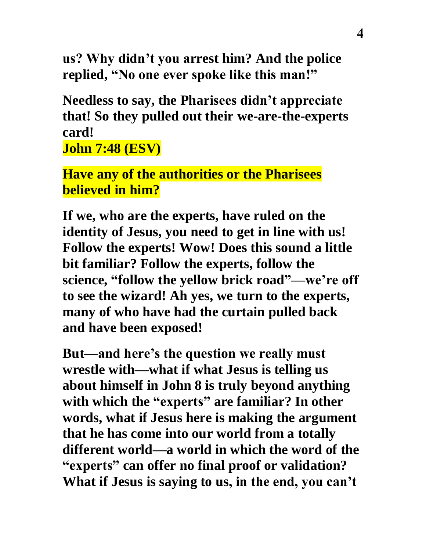**us? Why didn't you arrest him? And the police replied, "No one ever spoke like this man!"** 

**Needless to say, the Pharisees didn't appreciate that! So they pulled out their we-are-the-experts card!**

**John 7:48 (ESV)** 

**Have any of the authorities or the Pharisees believed in him?**

**If we, who are the experts, have ruled on the identity of Jesus, you need to get in line with us! Follow the experts! Wow! Does this sound a little bit familiar? Follow the experts, follow the science, "follow the yellow brick road"—we're off to see the wizard! Ah yes, we turn to the experts, many of who have had the curtain pulled back and have been exposed!**

**But—and here's the question we really must wrestle with—what if what Jesus is telling us about himself in John 8 is truly beyond anything with which the "experts" are familiar? In other words, what if Jesus here is making the argument that he has come into our world from a totally different world—a world in which the word of the "experts" can offer no final proof or validation? What if Jesus is saying to us, in the end, you can't**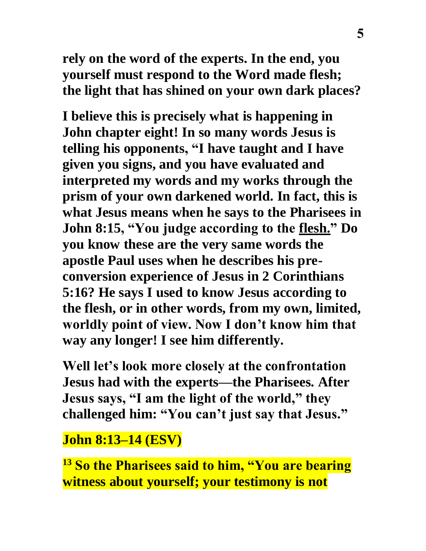**rely on the word of the experts. In the end, you yourself must respond to the Word made flesh; the light that has shined on your own dark places?**

**I believe this is precisely what is happening in John chapter eight! In so many words Jesus is telling his opponents, "I have taught and I have given you signs, and you have evaluated and interpreted my words and my works through the prism of your own darkened world. In fact, this is what Jesus means when he says to the Pharisees in John 8:15, "You judge according to the flesh." Do you know these are the very same words the apostle Paul uses when he describes his preconversion experience of Jesus in 2 Corinthians 5:16? He says I used to know Jesus according to the flesh, or in other words, from my own, limited, worldly point of view. Now I don't know him that way any longer! I see him differently.**

**Well let's look more closely at the confrontation Jesus had with the experts—the Pharisees. After Jesus says, "I am the light of the world," they challenged him: "You can't just say that Jesus."**

**John 8:13–14 (ESV)** 

**<sup>13</sup> So the Pharisees said to him, "You are bearing witness about yourself; your testimony is not**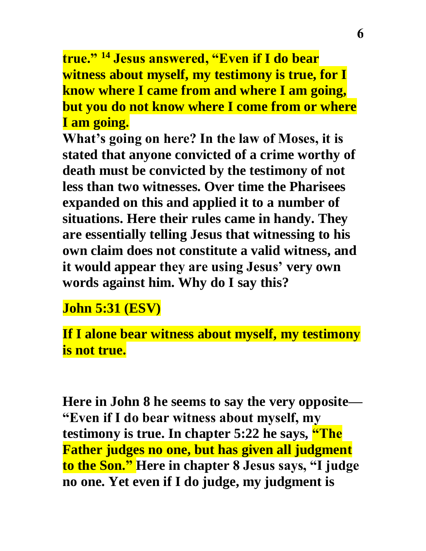**true." <sup>14</sup> Jesus answered, "Even if I do bear witness about myself, my testimony is true, for I know where I came from and where I am going, but you do not know where I come from or where I am going.**

**What's going on here? In the law of Moses, it is stated that anyone convicted of a crime worthy of death must be convicted by the testimony of not less than two witnesses. Over time the Pharisees expanded on this and applied it to a number of situations. Here their rules came in handy. They are essentially telling Jesus that witnessing to his own claim does not constitute a valid witness, and it would appear they are using Jesus' very own words against him. Why do I say this?**

**John 5:31 (ESV)** 

**If I alone bear witness about myself, my testimony is not true.**

**Here in John 8 he seems to say the very opposite— "Even if I do bear witness about myself, my testimony is true. In chapter 5:22 he says, "The Father judges no one, but has given all judgment to the Son." Here in chapter 8 Jesus says, "I judge no one. Yet even if I do judge, my judgment is**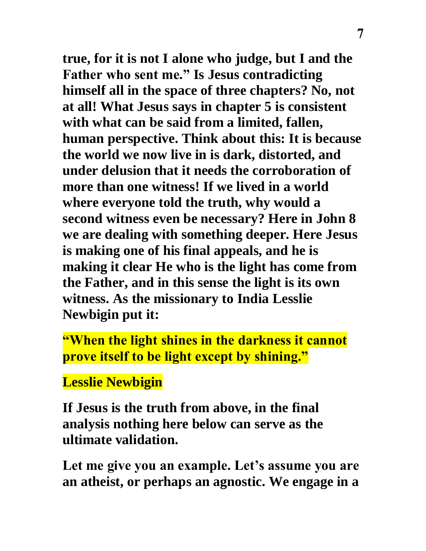**true, for it is not I alone who judge, but I and the Father who sent me." Is Jesus contradicting himself all in the space of three chapters? No, not at all! What Jesus says in chapter 5 is consistent with what can be said from a limited, fallen, human perspective. Think about this: It is because the world we now live in is dark, distorted, and under delusion that it needs the corroboration of more than one witness! If we lived in a world where everyone told the truth, why would a second witness even be necessary? Here in John 8 we are dealing with something deeper. Here Jesus is making one of his final appeals, and he is making it clear He who is the light has come from the Father, and in this sense the light is its own witness. As the missionary to India Lesslie Newbigin put it:**

**"When the light shines in the darkness it cannot prove itself to be light except by shining."**

## **Lesslie Newbigin**

**If Jesus is the truth from above, in the final analysis nothing here below can serve as the ultimate validation.**

**Let me give you an example. Let's assume you are an atheist, or perhaps an agnostic. We engage in a**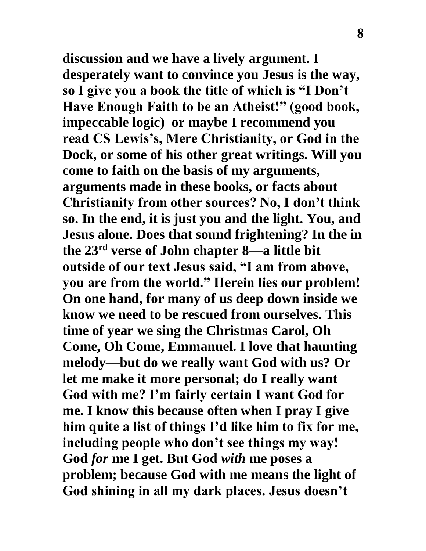**discussion and we have a lively argument. I desperately want to convince you Jesus is the way, so I give you a book the title of which is "I Don't Have Enough Faith to be an Atheist!" (good book, impeccable logic) or maybe I recommend you read CS Lewis's, Mere Christianity, or God in the Dock, or some of his other great writings. Will you come to faith on the basis of my arguments, arguments made in these books, or facts about Christianity from other sources? No, I don't think so. In the end, it is just you and the light. You, and Jesus alone. Does that sound frightening? In the in the 23rd verse of John chapter 8—a little bit outside of our text Jesus said, "I am from above, you are from the world." Herein lies our problem! On one hand, for many of us deep down inside we know we need to be rescued from ourselves. This time of year we sing the Christmas Carol, Oh Come, Oh Come, Emmanuel. I love that haunting melody—but do we really want God with us? Or let me make it more personal; do I really want God with me? I'm fairly certain I want God for me. I know this because often when I pray I give him quite a list of things I'd like him to fix for me, including people who don't see things my way! God** *for* **me I get. But God** *with* **me poses a problem; because God with me means the light of God shining in all my dark places. Jesus doesn't**